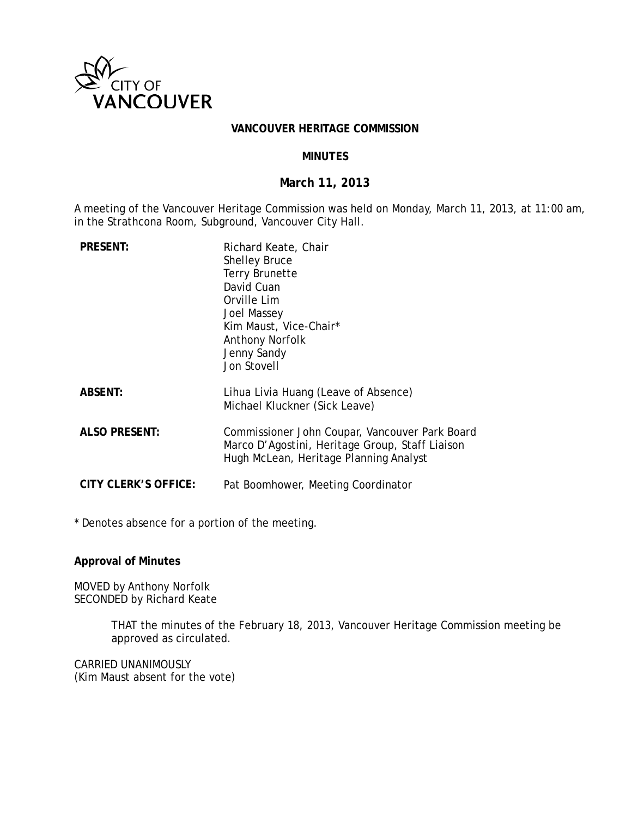

#### **VANCOUVER HERITAGE COMMISSION**

### **MINUTES**

## **March 11, 2013**

A meeting of the Vancouver Heritage Commission was held on Monday, March 11, 2013, at 11:00 am, in the Strathcona Room, Subground, Vancouver City Hall.

| <b>PRESENT:</b>      | Richard Keate, Chair<br><b>Shelley Bruce</b><br><b>Terry Brunette</b><br>David Cuan<br>Orville Lim<br>Joel Massey<br>Kim Maust, Vice-Chair*<br><b>Anthony Norfolk</b><br>Jenny Sandy<br>Jon Stovell |
|----------------------|-----------------------------------------------------------------------------------------------------------------------------------------------------------------------------------------------------|
| <b>ABSENT:</b>       | Lihua Livia Huang (Leave of Absence)<br>Michael Kluckner (Sick Leave)                                                                                                                               |
| <b>ALSO PRESENT:</b> | Commissioner John Coupar, Vancouver Park Board<br>Marco D'Agostini, Heritage Group, Staff Liaison<br>Hugh McLean, Heritage Planning Analyst                                                         |
| CITY CLERK'S OFFICE: | Pat Boomhower, Meeting Coordinator                                                                                                                                                                  |

\* Denotes absence for a portion of the meeting.

**Approval of Minutes**

MOVED by Anthony Norfolk SECONDED by Richard Keate

> THAT the minutes of the February 18, 2013, Vancouver Heritage Commission meeting be approved as circulated.

CARRIED UNANIMOUSLY (Kim Maust absent for the vote)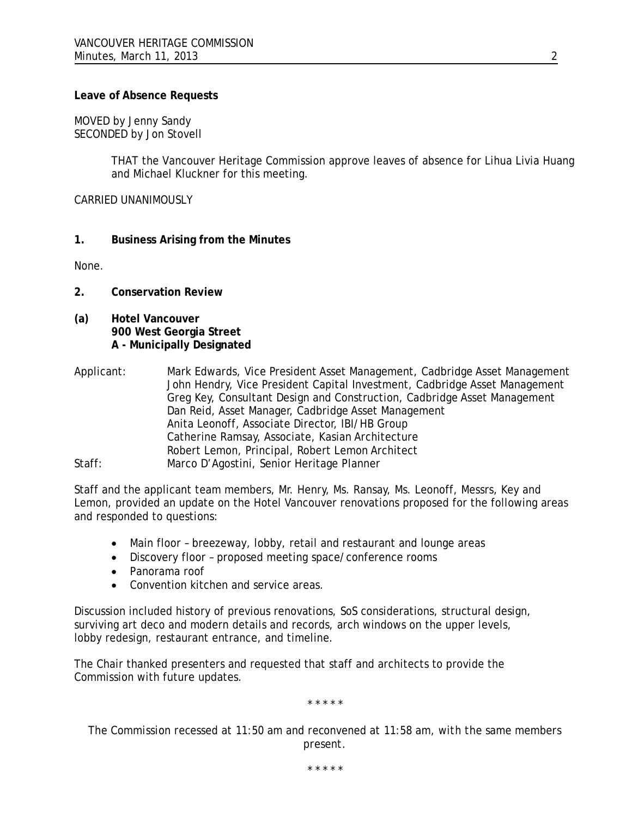### **Leave of Absence Requests**

MOVED by Jenny Sandy SECONDED by Jon Stovell

> THAT the Vancouver Heritage Commission approve leaves of absence for Lihua Livia Huang and Michael Kluckner for this meeting.

CARRIED UNANIMOUSLY

**1. Business Arising from the Minutes**

None.

- **2. Conservation Review**
- **(a) Hotel Vancouver 900 West Georgia Street A - Municipally Designated**
- Applicant: Mark Edwards, Vice President Asset Management, Cadbridge Asset Management John Hendry, Vice President Capital Investment, Cadbridge Asset Management Greg Key, Consultant Design and Construction, Cadbridge Asset Management Dan Reid, Asset Manager, Cadbridge Asset Management Anita Leonoff, Associate Director, IBI/HB Group Catherine Ramsay, Associate, Kasian Architecture Robert Lemon, Principal, Robert Lemon Architect Staff: Marco D'Agostini, Senior Heritage Planner

Staff and the applicant team members, Mr. Henry, Ms. Ransay, Ms. Leonoff, Messrs, Key and Lemon, provided an update on the Hotel Vancouver renovations proposed for the following areas and responded to questions:

- Main floor breezeway, lobby, retail and restaurant and lounge areas
- Discovery floor proposed meeting space/conference rooms
- Panorama roof
- Convention kitchen and service areas.

Discussion included history of previous renovations, SoS considerations, structural design, surviving art deco and modern details and records, arch windows on the upper levels, lobby redesign, restaurant entrance, and timeline.

The Chair thanked presenters and requested that staff and architects to provide the Commission with future updates.

*\* \* \* \* \**

*The Commission recessed at 11:50 am and reconvened at 11:58 am, with the same members present.*

*\* \* \* \* \**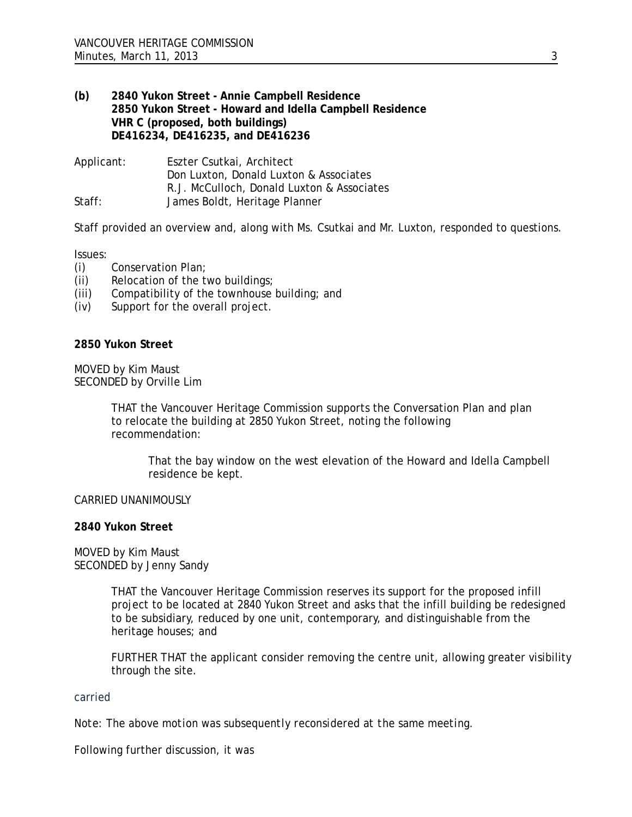## **(b) 2840 Yukon Street - Annie Campbell Residence 2850 Yukon Street - Howard and Idella Campbell Residence VHR C (proposed, both buildings) DE416234, DE416235, and DE416236**

Applicant: Eszter Csutkai, Architect Don Luxton, Donald Luxton & Associates R.J. McCulloch, Donald Luxton & Associates Staff: James Boldt, Heritage Planner

Staff provided an overview and, along with Ms. Csutkai and Mr. Luxton, responded to questions.

### Issues:

- (i) Conservation Plan;
- (ii) Relocation of the two buildings;
- (iii) Compatibility of the townhouse building; and
- (iv) Support for the overall project.

#### **2850 Yukon Street**

MOVED by Kim Maust SECONDED by Orville Lim

> THAT the Vancouver Heritage Commission supports the Conversation Plan and plan to relocate the building at 2850 Yukon Street, noting the following recommendation:

That the bay window on the west elevation of the Howard and Idella Campbell residence be kept.

#### CARRIED UNANIMOUSLY

#### **2840 Yukon Street**

MOVED by Kim Maust SECONDED by Jenny Sandy

> THAT the Vancouver Heritage Commission reserves its support for the proposed infill project to be located at 2840 Yukon Street and asks that the infill building be redesigned to be subsidiary, reduced by one unit, contemporary, and distinguishable from the heritage houses; and

FURTHER THAT the applicant consider removing the centre unit, allowing greater visibility through the site.

### carried

*Note: The above motion was subsequently reconsidered at the same meeting.*

Following further discussion, it was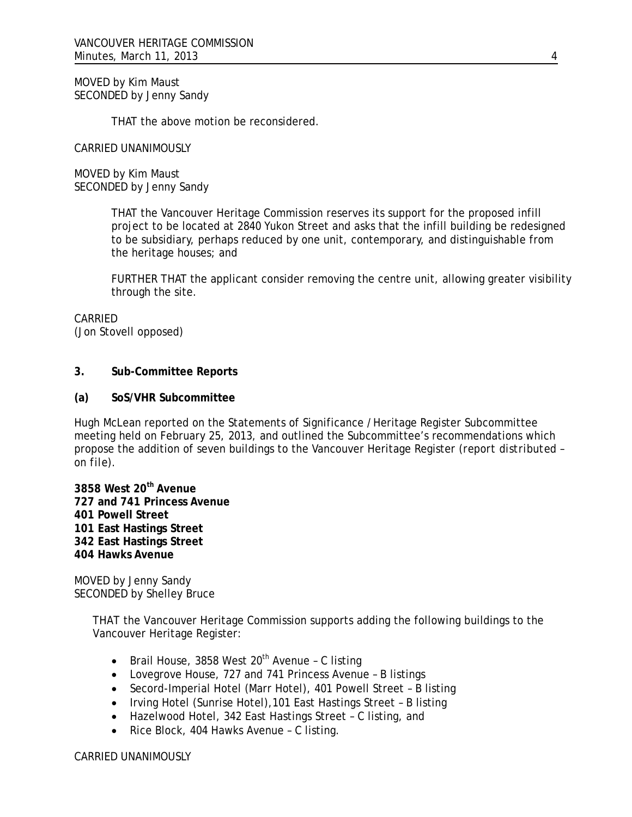MOVED by Kim Maust SECONDED by Jenny Sandy

THAT the above motion be reconsidered.

CARRIED UNANIMOUSLY

MOVED by Kim Maust SECONDED by Jenny Sandy

> THAT the Vancouver Heritage Commission reserves its support for the proposed infill project to be located at 2840 Yukon Street and asks that the infill building be redesigned to be subsidiary, perhaps reduced by one unit, contemporary, and distinguishable from the heritage houses; and

FURTHER THAT the applicant consider removing the centre unit, allowing greater visibility through the site.

CARRIED (Jon Stovell opposed)

### **3. Sub-Committee Reports**

### **(a) SoS/VHR Subcommittee**

Hugh McLean reported on the Statements of Significance /Heritage Register Subcommittee meeting held on February 25, 2013, and outlined the Subcommittee's recommendations which propose the addition of seven buildings to the Vancouver Heritage Register *(report distributed – on file).*

**3858 West 20th Avenue 727 and 741 Princess Avenue 401 Powell Street 101 East Hastings Street 342 East Hastings Street 404 Hawks Avenue**

MOVED by Jenny Sandy SECONDED by Shelley Bruce

> THAT the Vancouver Heritage Commission supports adding the following buildings to the Vancouver Heritage Register:

- Brail House, 3858 West  $20<sup>th</sup>$  Avenue C listing
- Lovegrove House, 727 and 741 Princess Avenue B listings
- Secord-Imperial Hotel (Marr Hotel), 401 Powell Street B listing
- Irving Hotel (Sunrise Hotel),101 East Hastings Street B listing
- Hazelwood Hotel, 342 East Hastings Street C listing, and
- Rice Block, 404 Hawks Avenue C listing.

CARRIED UNANIMOUSLY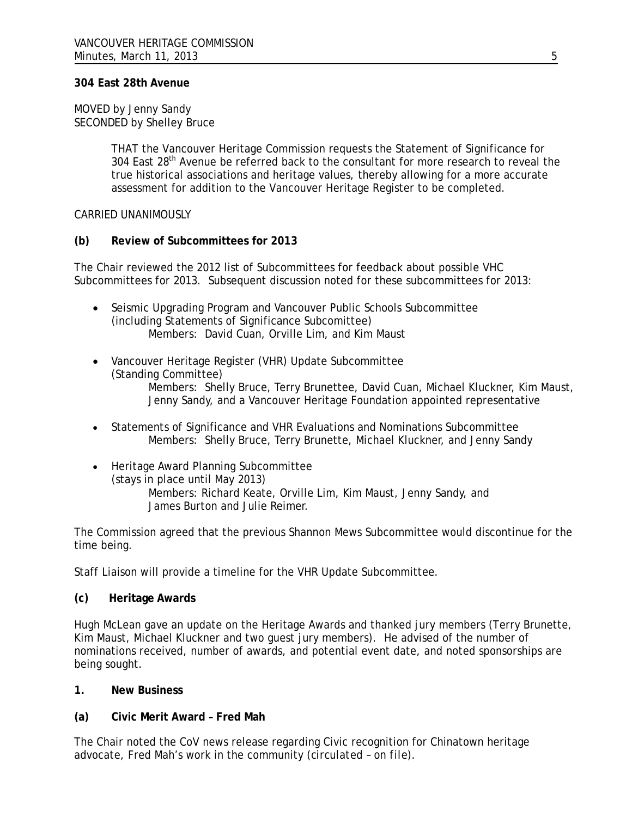### **304 East 28th Avenue**

#### MOVED by Jenny Sandy SECONDED by Shelley Bruce

THAT the Vancouver Heritage Commission requests the Statement of Significance for 304 East 28<sup>th</sup> Avenue be referred back to the consultant for more research to reveal the true historical associations and heritage values, thereby allowing for a more accurate assessment for addition to the Vancouver Heritage Register to be completed.

#### CARRIED UNANIMOUSLY

### **(b) Review of Subcommittees for 2013**

The Chair reviewed the 2012 list of Subcommittees for feedback about possible VHC Subcommittees for 2013. Subsequent discussion noted for these subcommittees for 2013:

- Seismic Upgrading Program and Vancouver Public Schools Subcommittee (including Statements of Significance Subcomittee) Members: David Cuan, Orville Lim, and Kim Maust
- Vancouver Heritage Register (VHR) Update Subcommittee (Standing Committee) Members: Shelly Bruce, Terry Brunettee, David Cuan, Michael Kluckner, Kim Maust, Jenny Sandy, and a Vancouver Heritage Foundation appointed representative
- Statements of Significance and VHR Evaluations and Nominations Subcommittee Members: Shelly Bruce, Terry Brunette, Michael Kluckner, and Jenny Sandy
- Heritage Award Planning Subcommittee (stays in place until May 2013) Members: Richard Keate, Orville Lim, Kim Maust, Jenny Sandy, and James Burton and Julie Reimer.

The Commission agreed that the previous Shannon Mews Subcommittee would discontinue for the time being.

Staff Liaison will provide a timeline for the VHR Update Subcommittee.

### **(c) Heritage Awards**

Hugh McLean gave an update on the Heritage Awards and thanked jury members (Terry Brunette, Kim Maust, Michael Kluckner and two guest jury members). He advised of the number of nominations received, number of awards, and potential event date, and noted sponsorships are being sought.

### **1. New Business**

### **(a) Civic Merit Award – Fred Mah**

The Chair noted the CoV news release regarding Civic recognition for Chinatown heritage advocate, Fred Mah's work in the community *(circulated – on file).*